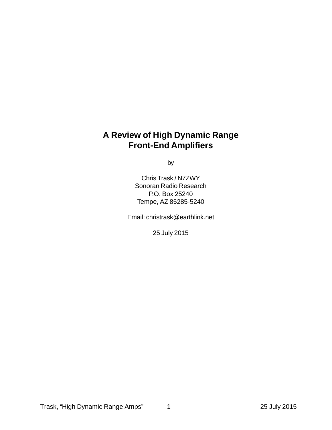# **A Review of High Dynamic Range Front-End Amplifiers**

by

Chris Trask / N7ZWY Sonoran Radio Research P.O. Box 25240 Tempe, AZ 85285-5240

Email: christrask@earthlink.net

25 July 2015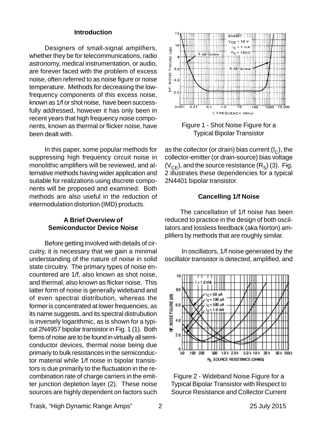#### **Introduction**

Designers of small-signal amplifiers, whether they be for telecommunications, radio astronomy, medical instrumentation, or audio, are forever faced with the problem of excess noise, often referred to as noise figure or noise temperature. Methods for decreasing the lowfrequency components of this excess noise, known as 1/f or shot noise, have been successfully addressed, however it has only been in recent years that high frequency noise components, known as thermal or flicker noise, have been dealt with.

In this paper, some popular methods for suppressing high frequency circuit noise in monolithic amplifiers will be reviewed, and alternative methods having wider application and suitable for realizations using discrete components will be proposed and examined. Both methods are also useful in the reduction of intermodulation distortion (IMD) products.

## **A Brief Overview of Semiconductor Device Noise**

Before getting involved with details of circuitry, it is necessary that we gain a minimal understanding of the nature of noise in solid state circuitry. The primary types of noise encountered are 1/f, also known as shot noise, and thermal, also known as flicker noise. This latter form of noise is generally wideband and of even spectral distribution, whereas the former is concentrated at lower frequencies, as its name suggests, and its spectral distrubution is inversely logarithmic, as is shown for a typical 2N4957 bipolar transistor in Fig. 1 (1). Both forms of noise are to be found in virtually all semiconductor devices, thermal noise being due primariy to bulk resistances in the semiconductor material while 1/f noise in bipolar transistors is due primarily to the fluctuation in the recombination rate of charge carriers in the emitter junction depletion layer (2). These noise sources are highly dependent on factors such



Figure 1 - Shot Noise Figure for a Typical Bipolar Transistor

as the collector (or drain) bias current  $(I<sub>c</sub>)$ , the collector-emitter (or drain-source) bias voltage  $(V_{CE})$ , and the source resistance  $(R_S)$  (3). Fig. 2 illustrates these dependencies for a typical 2N4401 bipolar transistor.

#### **Cancelling 1/f Noise**

The cancellation of 1/f noise has been reduced to practice in the design of both oscillators and lossless feedback (aka Norton) amplifiers by methods that are roughly similar.

 In oscillators, 1/f noise generated by the oscillator transistor is detected, amplified, and



Figure 2 - Wideband Noise Figure for a Typical Bipolar Transistor with Respect to Source Resistance and Collector Current

Trask, "High Dynamic Range Amps" 2 2 2 25 July 2015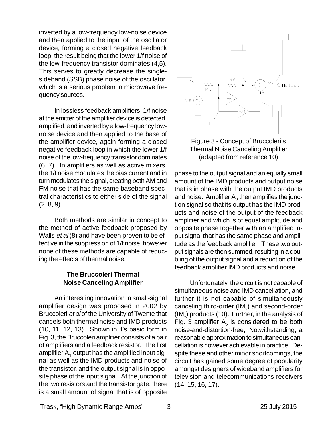inverted by a low-frequency low-noise device and then applied to the input of the oscillator device, forming a closed negative feedback loop, the result being that the lower 1/f noise of the low-frequency transistor dominates (4,5). This serves to greatly decrease the singlesideband (SSB) phase noise of the oscillator, which is a serious problem in microwave frequency sources.

In lossless feedback amplifiers, 1/f noise at the emitter of the amplifier device is detected, amplified, and inverted by a low-frequency lownoise device and then applied to the base of the amplifier device, again forming a closed negative feedback loop in which the lower 1/f noise of the low-frequency transistor dominates (6, 7). In amplifiers as well as active mixers, the 1/f noise modulates the bias current and in turn modulates the signal, creating both AM and FM noise that has the same baseband spectral characteristics to either side of the signal  $(2, 8, 9)$ .

Both methods are similar in concept to the method of active feedback proposed by Walls *et al* (8) and have been proven to be effective in the suppression of 1/f noise, however none of these methods are capable of reducing the effects of thermal noise.

## **The Bruccoleri Thermal Noise Canceling Amplifier**

An interesting innovation in small-signal amplifier design was proposed in 2002 by Bruccoleri et al of the University of Twente that cancels both thermal noise and IMD products (10, 11, 12, 13). Shown in it's basic form in Fig. 3, the Bruccoleri amplifier consists of a pair of amplifiers and a feedback resistor. The first amplifier  $A_1$  output has the amplified input signal as well as the IMD products and noise of the transistor, and the output signal is in opposite phase of the input signal. At the junction of the two resistors and the transistor gate, there is a small amount of signal that is of opposite





phase to the output signal and an equally small amount of the IMD products and output noise that is in phase with the output IMD products and noise. Amplifier  $A<sub>2</sub>$  then amplifies the junction signal so that its output has the IMD products and noise of the output of the feedback amplifier and which is of equal amplitude and opposite phase together with an amplified input signal that has the same phase and amplitude as the feedback amplifier. These two output signals are then summed, resulting in a doubling of the output signal and a reduction of the feedback amplifier IMD products and noise.

Unfortunately, the circuit is not capable of simultaneous noise and IMD cancellation, and further it is not capable of simultaneously canceling third-order  $(IM<sub>3</sub>)$  and second-order (IM<sub>2</sub>) products (10). Further, in the analysis of Fig. 3 amplifier  $A_2$  is considered to be both noise-and-distortion-free, Notwithstanding, a reasonable approximation to simultaneous cancellation is however achievable in practice. Despite these and other minor shortcomings, the circuit has gained some degree of popularity amongst designers of wideband amplifiers for television and telecommunications receivers (14, 15, 16, 17).

Trask, "High Dynamic Range Amps" 3 25 July 2015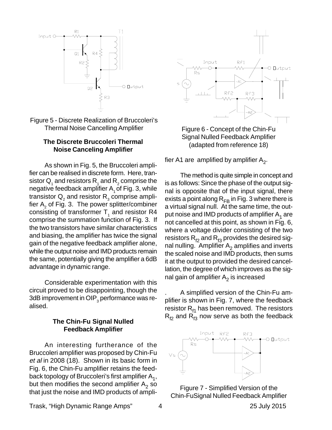



#### **The Discrete Bruccoleri Thermal Noise Canceling Amplifier**

As shown in Fig. 5, the Bruccoleri amplifier can be realised in discrete form. Here, transistor  ${\sf Q}^{}_4$  and resistors  ${\sf R}^{}_4$  and  ${\sf R}^{}_2$  comprise the negative feedback amplifier  $A_1$  of Fig. 3, while transistor  ${\sf Q}_{_{2}}$  and resistor  ${\sf R}_{_{3}}$  comprise amplifier A $_{_2}$  of Fig. 3. The power splitter/combiner consisting of transformer  $\mathsf{T}_{\scriptscriptstyle{1}}$  and resistor R4 comprise the summation function of Fig. 3. If the two transistors have similar characteristics and biasing, the amplifier has twice the signal gain of the negative feedback amplifier alone, while the output noise and IMD products remain the same, potentially giving the amplifier a 6dB advantage in dynamic range.

Considerable experimentation with this circuit proved to be disappointing, though the 3dB improvement in OIP $_{\rm 3}$  performance was realised.

#### **The Chin-Fu Signal Nulled Feedback Amplifier**

An interesting furtherance of the Bruccoleri amplifier was proposed by Chin-Fu et al in 2008 (18). Shown in its basic form in Fig. 6, the Chin-Fu amplifier retains the feedback topology of Bruccoleri's first amplifier  $A_1$ , but then modifies the second amplifier  $A_2$  so that just the noise and IMD products of ampli-



Signal Nulled Feedback Amplifier (adapted from reference 18)

fier A1 are amplified by amplifier  $A_2$ .

The method is quite simple in concept and is as follows: Since the phase of the output signal is opposite that of the input signal, there exists a point along  $R_{FR}$  in Fig. 3 where there is a virtual signal null. At the same time, the output noise and IMD products of amplifier  $A_1$  are not cancelled at this point, as shown in Fig. 6, where a voltage divider consisting of the two resistors  $R_{f2}$  and  $R_{f3}$  provides the desired signal nulling. Amplifier  $A_2$  amplifies and inverts the scaled noise and IMD products, then sums it at the output to provided the desired cancellation, the degree of which improves as the signal gain of amplifier  $A_2$  is increased

. A simplified version of the Chin-Fu amplifier is shown in Fig. 7, where the feedback resistor  $R_{f1}$  has been removed. The resistors  $R_{f2}$  and  $R_{f3}$  now serve as both the feedback





Trask, "High Dynamic Range Amps" 4 25 July 2015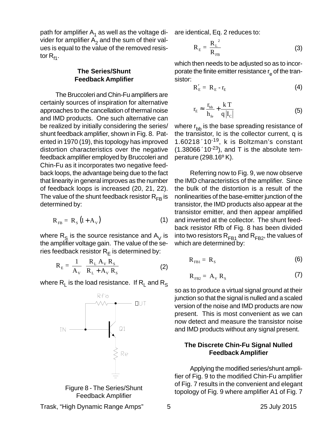path for amplifier  $A_1$  as well as the voltage divider for amplifier  $A<sub>2</sub>$  and the sum of their values is equal to the value of the removed resistor  $R_{f1}$ .

## **The Series/Shunt Feedback Amplifier**

The Bruccoleri and Chin-Fu amplifiers are certainly sources of inspiration for alternative approaches to the cancellation of thermal noise and IMD products. One such alternative can be realized by initially considering the series/ shunt feedback amplifier, shown in Fig. 8. Patented in 1970 (19), this topology has improved distortion characteristics over the negative feedback amplifier employed by Bruccoleri and Chin-Fu as it incorporates two negative feedback loops, the advantage being due to the fact that linearity in general improves as the number of feedback loops is increased (20, 21, 22). The value of the shunt feedback resistor  $R_{FB}$  is determined by:

$$
R_{FB} = R_s (1 + A_v) \tag{1}
$$

where  $R<sub>S</sub>$  is the source resistance and  $A<sub>V</sub>$  is the amplifier voltage gain. The value of the series feedback resistor  $R_E$  is determined by:

$$
R_{E} = \frac{1}{A_{V}} \left( \frac{R_{L} A_{V} R_{S}}{R_{L} + A_{V} R_{S}} \right)
$$
 (2)

where  $R_1$  is the load resistance. If  $R_1$  and  $R_5$ 



Feedback Amplifier

are identical, Eq. 2 reduces to:

$$
R_{E} = \frac{R_{L}^{2}}{R_{FB}}
$$
 (3)

which then needs to be adjusted so as to incorporate the finite emitter resistance  $r_{\rm e}$  of the transistor:

$$
R'_E = R_E - r_E \tag{4}
$$

$$
r_{\rm E} \approx \frac{r_{\rm bb}}{h_{\rm fe}} + \frac{k \, T}{q \, |I_{\rm c}|} \tag{5}
$$

where  $r_{\rm bb}$  is the base spreading resistance of the transistor, Ic is the collector current, q is 1.60218´10-19, k is Boltzman's constant  $(1.38066 \text{ }^{\circ}10^{-23})$ , and T is the absolute temperature (298.16º K).

Referring now to Fig. 9, we now observe the IMD characteristics of the amplifier. Since the bulk of the distortion is a result of the nonlinearities of the base-emitter junction of the transistor, the IMD products also appear at the transistor emitter, and then appear amplified and inverted at the collector. The shunt feedback resistor Rfb of Fig. 8 has been divided into two resistors  $R_{FB1}$  and  $R_{FB2}$ , the values of which are determined by:

$$
R_{FB1} = R_s \tag{6}
$$

$$
R_{FB2} = A_V R_S \tag{7}
$$

so as to produce a virtual signal ground at their junction so that the signal is nulled and a scaled version of the noise and IMD products are now present. This is most convenient as we can now detect and measure the transistor noise and IMD products without any signal present.

## **The Discrete Chin-Fu Signal Nulled Feedback Amplifier**

Applying the modified series/shunt amplifier of Fig. 9 to the modified Chin-Fu amplifier of Fig. 7 results in the convenient and elegant topology of Fig. 9 where amplifier A1 of Fig. 7

Trask, "High Dynamic Range Amps" 5 25 July 2015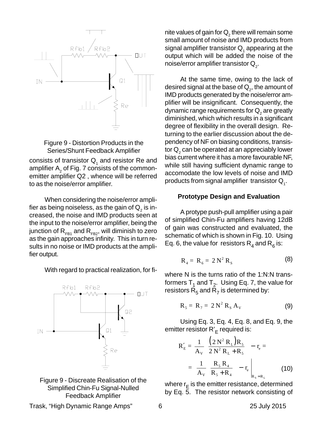



consists of transistor  $\mathsf{Q}_{_{1}}$  and resistor Re and amplifier  $\mathsf{A}_2$  of Fig. 7 consists of the commonemitter amplifier Q2 , whence will be referred to as the noise/error amplifier.

When considering the noise/error amplifier as being noiseless, as the gain of  $\mathsf{Q}_2^{}$  is increased, the noise and IMD products seen at the input to the noise/error amplifier, being the junction of  $R_{FB1}$  and  $R_{FB2}$ , will diminish to zero as the gain approaches infinity. This in turn results in no noise or IMD products at the amplifier output.

With regard to practical realization, for fi-





nite values of gain for  ${\mathsf Q}_2$  there will remain some small amount of noise and IMD products from signal amplifier transistor  ${\sf Q}^{}_{_1}$  appearing at the output which will be added the noise of the noise/error amplifier transistor  $\mathsf{Q}_{_2}.$ 

At the same time, owing to the lack of desired signal at the base of  ${\mathsf Q}_2^{},$  the amount of IMD products generated by the noise/error amplifier will be insignificant. Consequently, the dynamic range requirements for  $\mathsf{Q}_2$  are greatly diminished, which which results in a significant degree of flexibility in the overall design. Returning to the earlier discussion about the dependency of NF on biasing conditions, transistor  ${\sf Q}_2$  can be operated at an appreciably lower bias current where it has a more favourable NF, while still having sufficient dynamic range to accomodate the low levels of noise and IMD products from signal amplifier  $\,$  transistor  ${\sf Q}_{{}_{\!1}}$ .

#### **Prototype Design and Evaluation**

A protype push-pull amplifier using a pair of simplified Chin-Fu amplifiers having 12dB of gain was constructed and evaluated, the schematic of which is shown in Fig. 10. Using Eq. 6, the value for resistors  $R_4$  and  $R_6$  is:

$$
\mathbf{R}_4 = \mathbf{R}_6 = 2 \,\mathbf{N}^2 \,\mathbf{R}_S \tag{8}
$$

where N is the turns ratio of the 1:N:N transformers  $T_1$  and  $T_2$ . Using Eq. 7, the value for resistors  $R_5$  and  $\overline{R}_7$  is determined by:

$$
\mathbf{R}_5 = \mathbf{R}_7 = 2 \mathbf{N}^2 \mathbf{R}_S \mathbf{A}_V \tag{9}
$$

Using Eq. 3, Eq. 4, Eq. 8, and Eq. 9, the emitter resistor R'<sub>E</sub> required is:

$$
R'_{E} = \frac{1}{A_{V}} \left( \frac{(2 N^{2} R_{L}) R_{5}}{2 N^{2} R_{L} + R_{5}} \right) - r_{e} =
$$

$$
= \frac{1}{A_{V}} \left( \frac{R_{5} R_{4}}{R_{5} + R_{4}} \right) - r_{e} \Big|_{R_{S} = R_{L}}
$$
(10)

where  $r_{E}$  is the emitter resistance, determined by Eq. 5. The resistor network consisting of

Trask, "High Dynamic Range Amps" 6 25 July 2015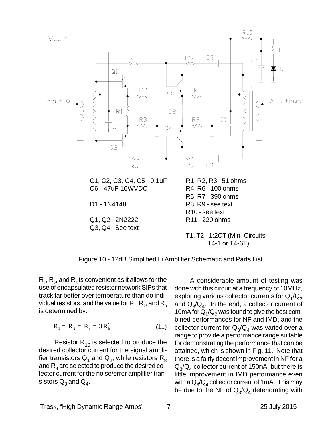

Figure 10 - 12dB Simplified Li Amplifier Schematic and Parts List

 $\mathsf{R}_{_{1}},\mathsf{R}_{_{2}},$  and  $\mathsf{R}_{_{3}}$  is convenient as it allows for the use of encapsulated resistor network SIPs that track far better over temperature than do individual resistors, and the value for  $\mathsf{R}_{_{1}},\mathsf{R}_{_{2}},$  and  $\mathsf{R}_{_{3}}$ is determined by:

$$
R_1 = R_2 = R_3 = 3R'_E
$$
 (11)

Resistor  $R_{10}$  is selected to produce the desired collector current for the signal amplifier transistors  $Q_1$  and  $Q_2$ , while resistors  $R_8$ and  $R_{q}$  are selected to produce the desired collector current for the noise/error amplifier transistors  $Q_3$  and  $Q_4$ .

A considerable amount of testing was done with this circuit at a frequency of 10MHz, exploring various collector currents for  $Q_1/Q_2$ and  $Q_{\alpha}/Q_{\alpha}$ . In the end, a collector current of 10mA for  $Q_1/Q_2$  was found to give the best combined performances for NF and IMD, and the collector current for  $Q_3/Q_4$  was varied over a range to provide a performance range suitable for demonstrating the performance that can be attained, which is shown in Fig. 11. Note that there is a fairly decent improvement in NF for a  $Q_3/Q_4$  collector current of 150mA, but there is little improvement in IMD performance even with a  $Q_{\gamma}/Q_{4}$  collector current of 1mA. This may be due to the NF of  $Q_3/Q_4$  deteriorating with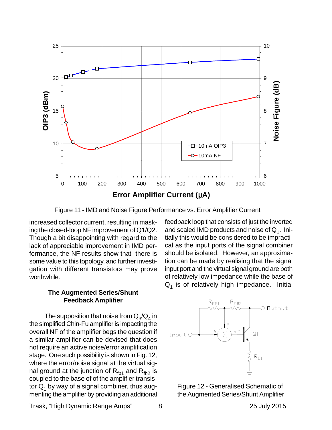

Figure 11 - IMD and Noise Figure Performance vs. Error Amplifier Current

increased collector current, resulting in masking the closed-loop NF improvement of Q1/Q2. Though a bit disappointing with regard to the lack of appreciable improvement in IMD performance, the NF results show that there is some value to this topology, and further investigation with different transistors may prove worthwhile.

#### **The Augmented Series/Shunt Feedback Amplifier**

The supposition that noise from  $Q_3/Q_4$  in the simplified Chin-Fu amplifier is impacting the overall NF of the amplifier begs the question if a similar amplifier can be devised that does not require an active noise/error amplification stage. One such possibility is shown in Fig. 12, where the error/noise signal at the virtual signal ground at the junction of  $R_{fb1}$  and  $R_{fb2}$  is coupled to the base of of the amplifier transistor  $Q_1$  by way of a signal combiner, thus augmenting the amplifier by providing an additional feedback loop that consists of just the inverted and scaled IMD products and noise of  $Q_1$ . Initially this would be considered to be impractical as the input ports of the signal combiner should be isolated. However, an approximation can be made by realising that the signal input port and the virtual signal ground are both of relatively low impedance while the base of  $Q_1$  is of relatively high impedance. Initial





Trask, "High Dynamic Range Amps" 8 25 July 2015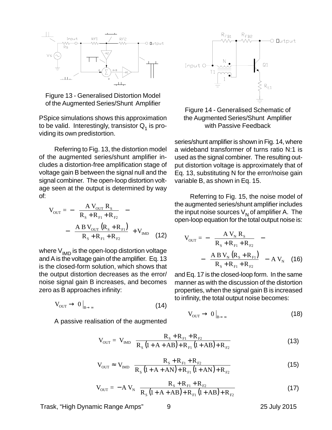

Figure 13 - Generalised Distortion Model of the Augmented Series/Shunt Amplifier

PSpice simulations shows this approximation to be valid. Interestingly, transistor  $Q_1$  is providing its own predistortion.

Referring to Fig. 13, the distortion model of the augmented series/shunt amplifier includes a distortion-free amplification stage of voltage gain B between the signal null and the signal combiner. The open-loop distortion voltage seen at the output is determined by way of:

$$
V_{OUT} = -\left(\frac{A V_{OUT} R_{S}}{R_{S} + R_{F1} + R_{F2}}\right) - \left(\frac{A B V_{OUT} (R_{S} + R_{F1})}{R_{S} + R_{F1} + R_{F2}}\right) + V_{IMD}
$$
(12)

where  $V_{IMD}$  is the open-loop distortion voltage and A is the voltage gain of the amplifier. Eq. 13 is the closed-form solution, which shows that the output distortion decreases as the error/ noise signal gain B increases, and becomes zero as B approaches infinity:

$$
V_{\text{OUT}} \to 0\big|_{B\to\infty} \tag{14}
$$

A passive realisation of the augmented



Figure 14 - Generalised Schematic of the Augmented Series/Shunt Amplifier with Passive Feedback

series/shunt amplifier is shown in Fig. 14, where a wideband transformer of turns ratio N:1 is used as the signal combiner. The resulting output distortion voltage is approximately that of Eq. 13, substituting N for the error/noise gain variable B, as shown in Eq. 15.

Referring to Fig. 15, the noise model of the augmented series/shunt amplifier includes the input noise sources  $V_N$  of amplifier A. The open-loop equation for the total output noise is:

$$
V_{OUT} = -\left(\frac{A V_{N} R_{S}}{R_{S} + R_{F1} + R_{F2}}\right) - \left(\frac{A B V_{N} (R_{S} + R_{F1})}{R_{S} + R_{F1} + R_{F2}}\right) - A V_{N}
$$
 (16)

and Eq. 17 is the closed-loop form. In the same manner as with the discussion of the distortion properties, when the signal gain B is increased to infinity, the total output noise becomes:

$$
V_{\text{OUT}} \to 0\big|_{B\to\infty} \tag{18}
$$

$$
V_{OUT} = V_{IMD} \left( \frac{R_{s} + R_{F1} + R_{F2}}{R_{s} (1 + A + AB) + R_{F1} (1 + AB) + R_{F2}} \right)
$$
(13)

$$
V_{\text{OUT}} \approx V_{\text{IMD}} \left( \frac{R_{\text{S}} + R_{\text{F1}} + R_{\text{F2}}}{R_{\text{S}} \left( 1 + A + AN \right) + R_{\text{F1}} \left( 1 + AN \right) + R_{\text{F2}}} \right)
$$
(15)

$$
V_{OUT} = -A V_{N} \left( \frac{R_{S} + R_{F1} + R_{F2}}{R_{S} (1 + A + AB) + R_{F1} (1 + AB) + R_{F2}} \right)
$$
(17)

Trask, "High Dynamic Range Amps" 9 25 July 2015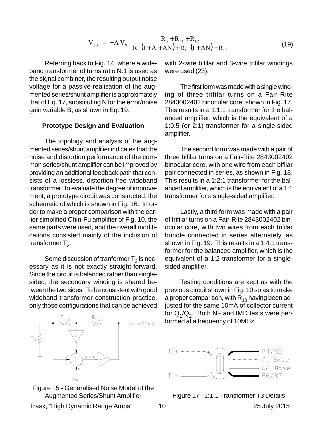$$
V_{\text{OUT}} = -A V_{N} \left( \frac{R_{S} + R_{F1} + R_{F2}}{R_{S} (1 + A + AN) + R_{F1} (1 + AN) + R_{F2}} \right)
$$
(19)

Referring back to Fig. 14, where a wideband transformer of turns ratio N:1 is used as the signal combiner, the resulting output noise voltage for a passive realisation of the augmented series/shunt amplifier is approximately that of Eq. 17, substituting N for the error/noise gain variable B, as shown in Eq. 19.

#### **Prototype Design and Evaluation**

The topology and analysis of the augmented series/shunt amplifier indicates that the noise and distortion performance of the common series/shunt amplifier can be improved by providing an additional feedback path that consists of a lossless, distortion-free wideband transformer. To evaluate the degree of improvement, a prototype circuit was constructed, the schematic of which is shown in Fig. 16. In order to make a proper comparison with the earlier simplified Chin-Fu amplifier of Fig. 10, the same parts were used, and the overall modifications consisted mainly of the inclusion of transformer  $T_2$ .

Some discussion of tranformer  $T_2$  is necessary as it is not exactly straight-forward. Since the circuit is balanced rather than singlesided, the secondary winding is shared between the two sides. To be consistent with good wideband transformer construction practice, only those configurations that can be achieved





with 2-wire bifilar and 3-wire trifilar windings were used (23).

The first form was made with a single winding of three trifilar turns on a Fair-Rite 2843002402 binocular core, shown in Fig. 17. This results in a 1:1:1 transformer for the balanced amplifier, which is the equivalent of a 1:0.5 (or 2:1) transformer for a single-sided amplifier.

The second form was made with a pair of three bifilar turns on a Fair-Rite 2843002402 binocular core, with one wire from each bifilar pair connected in series, as shown in Fig. 18. This results in a 1:2:1 transformer for the balanced amplifier, which is the equivalent of a 1:1 transformer for a single-sided amplifier.

Lastly, a third form was made with a pair of trifilar turns on a Fair-Rite 2843002402 binocular core, with two wires from each trifilar bundle connected in series alternately, as shown in Fig. 19. This results in a 1:4:1 transformer for the balanced amplifier, which is the equivalent of a 1:2 transformer for a singlesided amplifier.

Testing conditions are kept as with the previous circuit shown in Fig. 10 so as to make a proper comparison, with  $R_{10}$  having been adjusted for the same 10mA of collector current for  $Q_1/Q_2$ . Both NF and IMD tests were performed at a frequency of 10MHz.



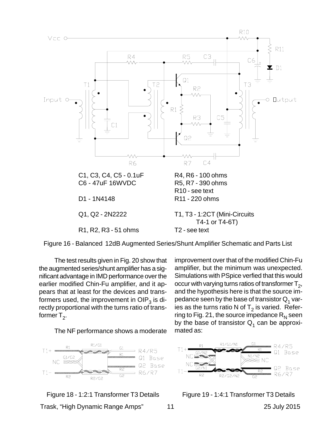



The test results given in Fig. 20 show that the augmented series/shunt amplifier has a significant advantage in IMD performance over the earlier modified Chin-Fu amplifier, and it appears that at least for the devices and transformers used, the improvement in  $OIP<sub>3</sub>$  is directly proportional with the turns ratio of transformer  $T_2$ .

The NF performance shows a moderate



Trask, "High Dynamic Range Amps" 11 25 July 2015

improvement over that of the modified Chin-Fu amplifier, but the minimum was unexpected. Simulations with PSpice verfied that this would occur with varying turns ratios of transformer  $T<sub>2</sub>$ , and the hypothesis here is that the source impedance seen by the base of transistor  $Q_1$  varies as the turns ratio N of  $T_2$  is varied. Referring to Fig. 21, the source impedance  $R_N$  seen by the base of transistor  $Q_1$  can be approximated as:



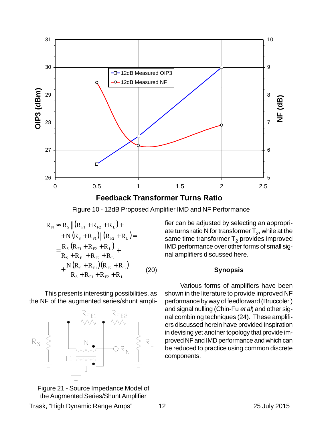

**Feedback Transformer Turns Ratio**

Figure 10 - 12dB Proposed Amplifier IMD and NF Performance

$$
R_{N} \approx R_{S} \|(R_{F1} + R_{F2} + R_{L}) +
$$
  
+ N (R<sub>S</sub> + R<sub>F1</sub>) \| (R<sub>F2</sub> + R<sub>L</sub>)=  
=  $\frac{R_{S} (R_{F1} + R_{F2} + R_{L})}{R_{S} + R_{F1} + R_{F2} + R_{L}}$   
+  $\frac{N (R_{S} + R_{F1}) (R_{F2} + R_{L})}{R_{S} + R_{F1} + R_{F2} + R_{L}}$  (20)

This presents interesting possibilities, as the NF of the augmented series/shunt ampli-



Figure 21 - Source Impedance Model of the Augmented Series/Shunt Amplifier

fier can be adjusted by selecting an appropriate turns ratio N for transformer  $T_2$ , while at the same time transformer  $T<sub>2</sub>$  provides improved IMD performance over other forms of small signal amplifiers discussed here.

#### **Synopsis**

Various forms of amplifiers have been shown in the literature to provide improved NF performance by way of feedforward (Bruccoleri) and signal nulling (Chin-Fu et al) and other signal combining techniques (24). These amplifiers discussed herein have provided inspiration in devising yet another topology that provide improved NF and IMD performance and which can be reduced to practice using common discrete components.

Trask, "High Dynamic Range Amps" 12 12 12 25 July 2015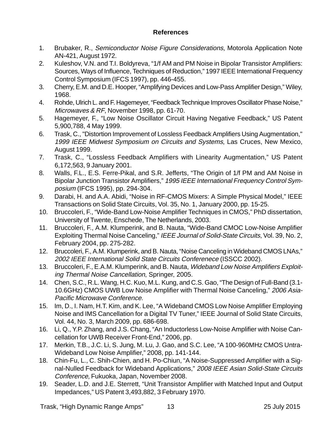## **References**

- 1. Brubaker, R., Semiconductor Noise Figure Considerations, Motorola Application Note AN-421, August 1972.
- 2. Kuleshov, V.N. and T.I. Boldyreva, "1/f AM and PM Noise in Bipolar Transistor Amplifiers: Sources, Ways of Influence, Techniques of Reduction," 1997 IEEE International Frequency Control Symposium (IFCS 1997), pp. 446-455.
- 3. Cherry, E.M. and D.E. Hooper, "Amplifying Devices and Low-Pass Amplifier Design," Wiley, 1968.
- 4. Rohde, Ulrich L. and F. Hagemeyer, "Feedback Technique Improves Oscillator Phase Noise," Microwaves & RF, November 1998, pp. 61-70.
- 5. Hagemeyer, F., "Low Noise Oscillator Circuit Having Negative Feedback," US Patent 5,900,788, 4 May 1999.
- 6. Trask, C., "Distortion Improvement of Lossless Feedback Amplifiers Using Augmentation," 1999 IEEE Midwest Symposium on Circuits and Systems, Las Cruces, New Mexico, August 1999.
- 7. Trask, C., "Lossless Feedback Amplifiers with Linearity Augmentation," US Patent 6,172,563, 9 January 2001.
- 8. Walls, F.L., E.S. Ferre-Pikal, and S.R. Jefferts, "The Origin of 1/f PM and AM Noise in Bipolar Junction Transistor Amplifiers," 1995 IEEE International Frequency Control Symposium (IFCS 1995), pp. 294-304.
- 9. Darabi, H. and A.A. Abidi, "Noise in RF-CMOS Mixers: A Simple Physical Model," IEEE Transactions on Solid State Circuits, Vol. 35, No. 1, January 2000, pp. 15-25.
- 10. Bruccoleri, F., "Wide-Band Low-Noise Amplifier Techniques in CMOS," PhD dissertation, University of Twente, Enschede, The Netherlands, 2003.
- 11. Bruccoleri, F., A.M. Klumperink, and B. Nauta, "Wide-Band CMOC Low-Noise Amplifier Exploiting Thermal Noise Canceling," IEEE Journal of Solid-State Circuits, Vol. 39, No. 2, February 2004, pp. 275-282.
- 12. Bruccoleri, F., A.M. Klumperink, and B. Nauta, "Noise Canceling in Wideband CMOS LNAs," 2002 IEEE International Solid State Circuits Conferenece (ISSCC 2002).
- 13. Bruccoleri, F., E.A.M. Klumperink, and B. Nauta, Wideband Low Noise Amplifiers Exploiting Thermal Noise Cancellation, Springer, 2005.
- 14. Chen, S.C., R.L. Wang, H.C. Kuo, M.L. Kung, and C.S. Gao, "The Design of Full-Band (3.1- 10.6GHz) CMOS UWB Low Noise Amplifier with Thermal Noise Canceling," 2006 Asia-Pacific Microwave Conference.
- 15. Im, D., I. Nam, H.T. Kim, and K. Lee, "A Wideband CMOS Low Noise Amplifier Employing Noise and IMS Cancellation for a Digital TV Tuner," IEEE Journal of Solid State Circuits, Vol. 44, No. 3, March 2009, pp. 686-698.
- 16. Li, Q., Y.P. Zhang, and J.S. Chang, "An Inductorless Low-Noise Amplifier with Noise Cancellation for UWB Receiver Front-End," 2006, pp.
- 17. Merkin, T.B., J.C. Li, S. Jung, M. Lu, J. Gao, and S.C. Lee, "A 100-960MHz CMOS Untra-Wideband Low Noise Amplifier," 2008, pp. 141-144.
- 18. Chin-Fu, L., C. Shih-Chien, and H. Po-Chiun, "A Noise-Suppressed Amplifier with a Signal-Nulled Feedback for Wideband Applications," 2008 IEEE Asian Solid-State Circuits Conference, Fukuoka, Japan, November 2008.
- 19. Seader, L.D. and J.E. Sterrett, "Unit Transistor Amplifier with Matched Input and Output Impedances," US Patent 3,493,882, 3 February 1970.

Trask, "High Dynamic Range Amps" 13 25 July 2015